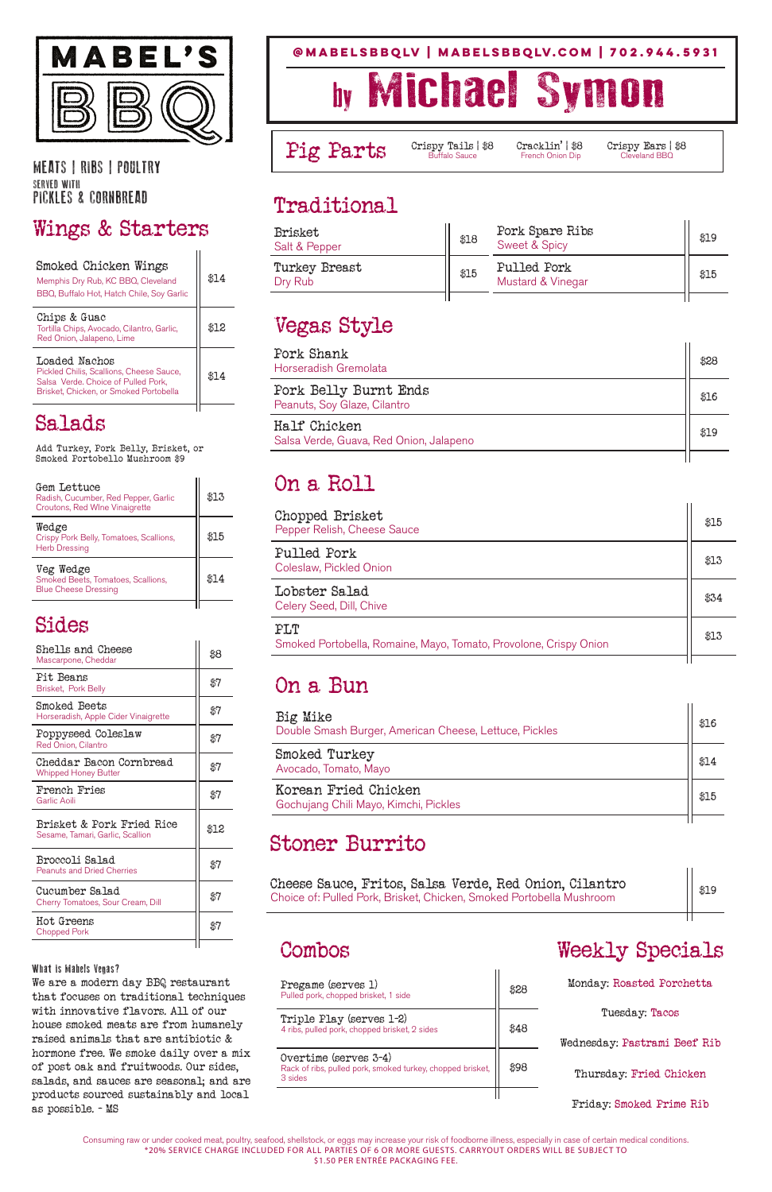#### **@mabelsbbqLV | mabelsbbqlv.com | 702.944.5931**

# by Michael Symon

Pig Parts Crispy Tails | \$8 Cracklin' | \$8 Crispy Ears | \$8<br>French Onion Dip Cleveland BBQ



MEATS | RIBS | POULTRY SERVED WITH PICKLES & CORNBREAD

#### Wings & Starters

| Smoked Chicken Wings<br>Memphis Dry Rub, KC BBQ, Cleveland<br>BBQ, Buffalo Hot, Hatch Chile, Soy Garlic                                    | \$14 |
|--------------------------------------------------------------------------------------------------------------------------------------------|------|
| Chips & Guac<br>Tortilla Chips, Avocado, Cilantro, Garlic,<br>Red Onion, Jalapeno, Lime                                                    | \$12 |
| Loaded Nachos<br>Pickled Chilis, Scallions, Cheese Sauce,<br>Salsa Verde. Choice of Pulled Pork,<br>Brisket, Chicken, or Smoked Portobella | \$14 |

#### Salads

Add Turkey, Pork Belly, Brisket, or Smoked Portobello Mushroom \$9

| Gem Lettuce<br>Radish, Cucumber, Red Pepper, Garlic<br>Croutons, Red Wine Vinaigrette | \$13   |
|---------------------------------------------------------------------------------------|--------|
| Wedge<br>Crispy Pork Belly, Tomatoes, Scallions,<br><b>Herb Dressing</b>              | \$15   |
| Veg Wedge<br>Smoked Beets, Tomatoes, Scallions,<br><b>Blue Cheese Dressing</b>        | 38 T 4 |
|                                                                                       |        |

#### Sides

| Shells and Cheese<br>Mascarpone, Cheddar                      | \$8  |
|---------------------------------------------------------------|------|
| Pit Beans<br>Brisket, Pork Belly                              | \$7  |
| Smoked Beets<br>Horseradish, Apple Cider Vinaigrette          | \$7  |
| Poppyseed Coleslaw<br><b>Red Onion, Cilantro</b>              | \$7  |
| Cheddar Bacon Cornbread<br><b>Whipped Honey Butter</b>        | \$7  |
| <b>French Fries</b><br>Garlic Aoili                           | \$7  |
| Brisket & Pork Fried Rice<br>Sesame, Tamari, Garlic, Scallion | \$12 |
| Broccoli Salad<br>Peanuts and Dried Cherries                  |      |

| Cucumber Salad<br>Cherry Tomatoes, Sour Cream, Dill | \$7 |
|-----------------------------------------------------|-----|
| Hot Greens<br><b>Chopped Pork</b>                   | 87  |

What is Mabels Vegas?

We are a modern day BBQ restaurant that focuses on traditional techniques with innovative flavors. All of our house smoked meats are from humanely raised animals that are antibiotic & hormone free. We smoke daily over a mix of post oak and fruitwoods. Our sides, salads, and sauces are seasonal; and are products sourced sustainably and local as possible. - MS

> Consuming raw or under cooked meat, poultry, seafood, shellstock, or eggs may increase your risk of foodborne illness, especially in case of certain medical conditions. \*20% SERVICE CHARGE INCLUDED FOR ALL PARTIES OF 6 OR MORE GUESTS. CARRYOUT ORDERS WILL BE SUBJECT TO \$1.50 PER ENTRÉE PACKAGING FEE.

#### Traditional

| <b>Brisket</b><br>Salt & Pepper | \$18 | Pork Spare Ribs<br><b>Sweet &amp; Spicy</b> | \$19 |
|---------------------------------|------|---------------------------------------------|------|
| Turkey Breast<br>Dry Rub        | \$15 | Pulled Pork<br>Mustard & Vinegar            | \$15 |
|                                 |      |                                             |      |

### Vegas Style

| Pork Shank<br>Horseradish Gremolata                     | ቋንዖ  |
|---------------------------------------------------------|------|
| Pork Belly Burnt Ends<br>Peanuts, Soy Glaze, Cilantro   | \$16 |
| Half Chicken<br>Salsa Verde, Guava, Red Onion, Jalapeno | 49 Q |
|                                                         |      |

#### On a Roll

| Chopped Brisket<br>Pepper Relish, Cheese Sauce                           | \$15 |
|--------------------------------------------------------------------------|------|
| Pulled Pork<br>Coleslaw, Pickled Onion                                   | \$13 |
| Lobster Salad<br>Celery Seed, Dill, Chive                                | \$34 |
| PLT<br>Smoked Portobella, Romaine, Mayo, Tomato, Provolone, Crispy Onion | \$13 |
|                                                                          |      |

#### On a Bun

| Big Mike<br>Double Smash Burger, American Cheese, Lettuce, Pickles | \$16 |
|--------------------------------------------------------------------|------|
| Smoked Turkey<br>Avocado, Tomato, Mayo                             | \$14 |
| Korean Fried Chicken<br>Gochujang Chili Mayo, Kimchi, Pickles      | \$15 |
|                                                                    |      |

#### Stoner Burrito

Cheese Sauce, Fritos, Salsa Verde, Red Onion, Cilantro Choice of: Pulled Pork, Brisket, Chicken, Smoked Portobella Mushroom

\$19

Combos Weekly Specials

Pregame (serves 1) Pulled pork, chopped brisket, 1 side<br>Pulled pork, chopped brisket, 1 side  $\begin{bmatrix} 828 \end{bmatrix}$ Triple Play (serves 1-2) 4 ribs, pulled pork, chopped brisket, 2 sides | \$48 Overtime (serves 3-4) Rack of ribs, pulled pork, smoked turkey, chopped brisket, 3 sides

\$98

Monday: Roasted Porchetta

Tuesday: Tacos

Wednesday: Pastrami Beef Rib

Thursday: Fried Chicken

Friday: Smoked Prime Rib